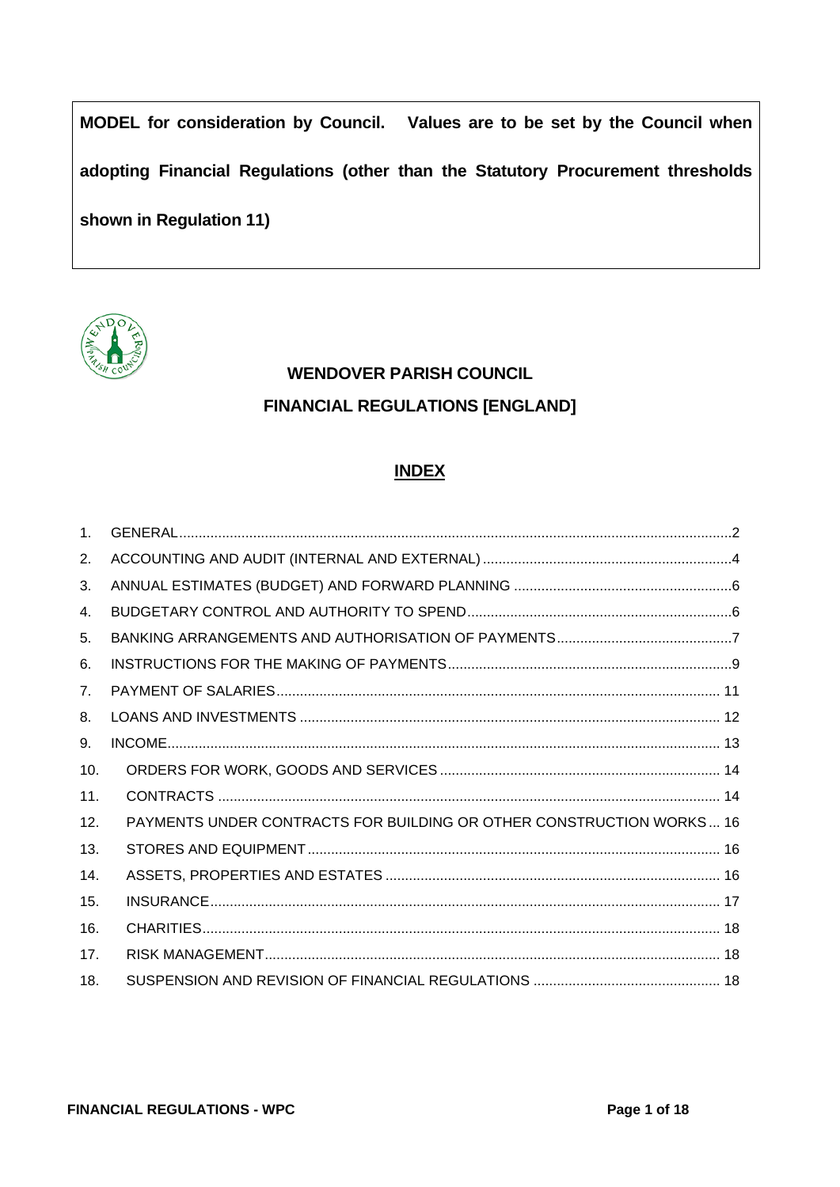**MODEL for consideration by Council. Values are to be set by the Council when adopting Financial Regulations (other than the Statutory Procurement thresholds shown in Regulation 11)**



# **WENDOVER PARISH COUNCIL FINANCIAL REGULATIONS [ENGLAND]**

# **INDEX**

| 1 <sub>1</sub> |                                                                      |
|----------------|----------------------------------------------------------------------|
| 2.             |                                                                      |
| 3.             |                                                                      |
| 4.             |                                                                      |
| 5.             |                                                                      |
| 6.             |                                                                      |
| 7 <sub>1</sub> |                                                                      |
| 8.             |                                                                      |
| 9.             |                                                                      |
| 10.            |                                                                      |
| 11.            |                                                                      |
| 12.            | PAYMENTS UNDER CONTRACTS FOR BUILDING OR OTHER CONSTRUCTION WORKS 16 |
| 13.            |                                                                      |
| 14.            |                                                                      |
| 15.            |                                                                      |
| 16.            |                                                                      |
| 17.            |                                                                      |
| 18.            |                                                                      |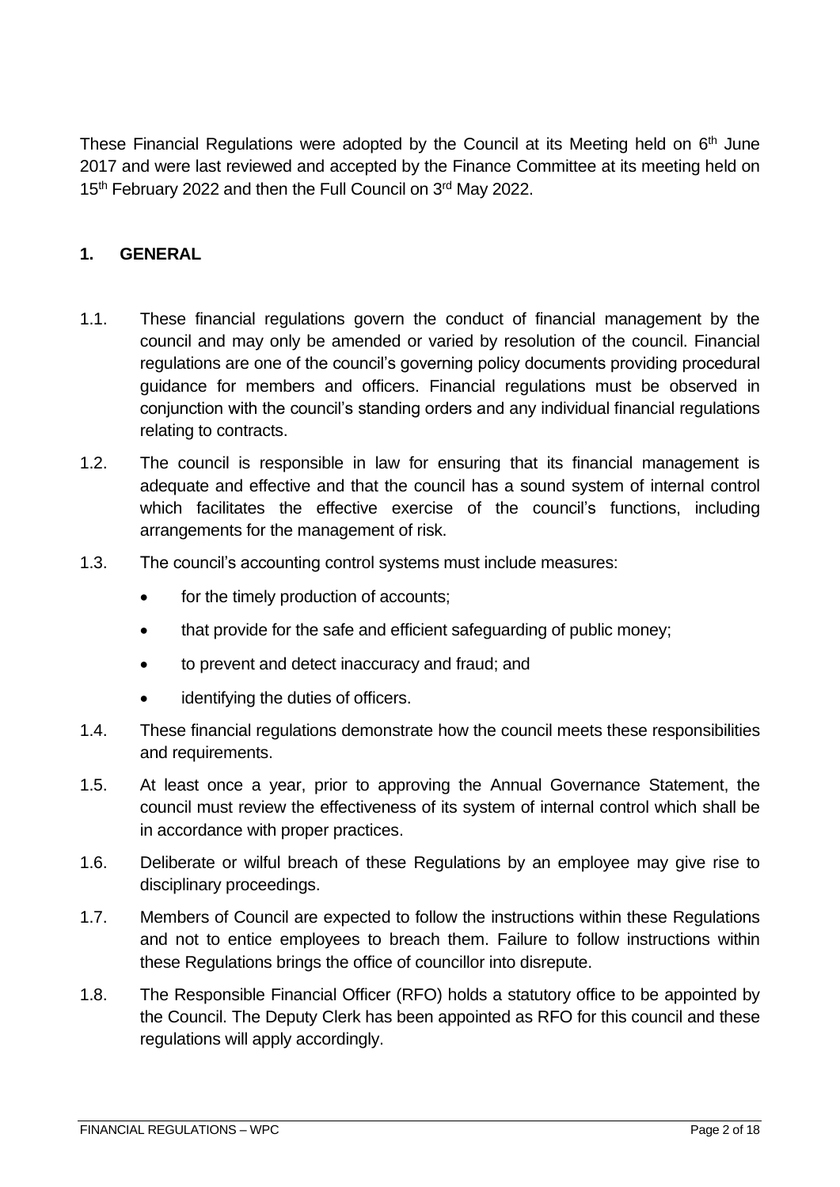These Financial Regulations were adopted by the Council at its Meeting held on  $6<sup>th</sup>$  June 2017 and were last reviewed and accepted by the Finance Committee at its meeting held on 15<sup>th</sup> February 2022 and then the Full Council on 3<sup>rd</sup> May 2022.

### <span id="page-1-0"></span>**1. GENERAL**

- 1.1. These financial regulations govern the conduct of financial management by the council and may only be amended or varied by resolution of the council. Financial regulations are one of the council's governing policy documents providing procedural guidance for members and officers. Financial regulations must be observed in conjunction with the council's standing orders and any individual financial regulations relating to contracts.
- 1.2. The council is responsible in law for ensuring that its financial management is adequate and effective and that the council has a sound system of internal control which facilitates the effective exercise of the council's functions, including arrangements for the management of risk.
- 1.3. The council's accounting control systems must include measures:
	- for the timely production of accounts;
	- that provide for the safe and efficient safeguarding of public money;
	- to prevent and detect inaccuracy and fraud; and
	- identifying the duties of officers.
- 1.4. These financial regulations demonstrate how the council meets these responsibilities and requirements.
- 1.5. At least once a year, prior to approving the Annual Governance Statement, the council must review the effectiveness of its system of internal control which shall be in accordance with proper practices.
- 1.6. Deliberate or wilful breach of these Regulations by an employee may give rise to disciplinary proceedings.
- 1.7. Members of Council are expected to follow the instructions within these Regulations and not to entice employees to breach them. Failure to follow instructions within these Regulations brings the office of councillor into disrepute.
- 1.8. The Responsible Financial Officer (RFO) holds a statutory office to be appointed by the Council. The Deputy Clerk has been appointed as RFO for this council and these regulations will apply accordingly.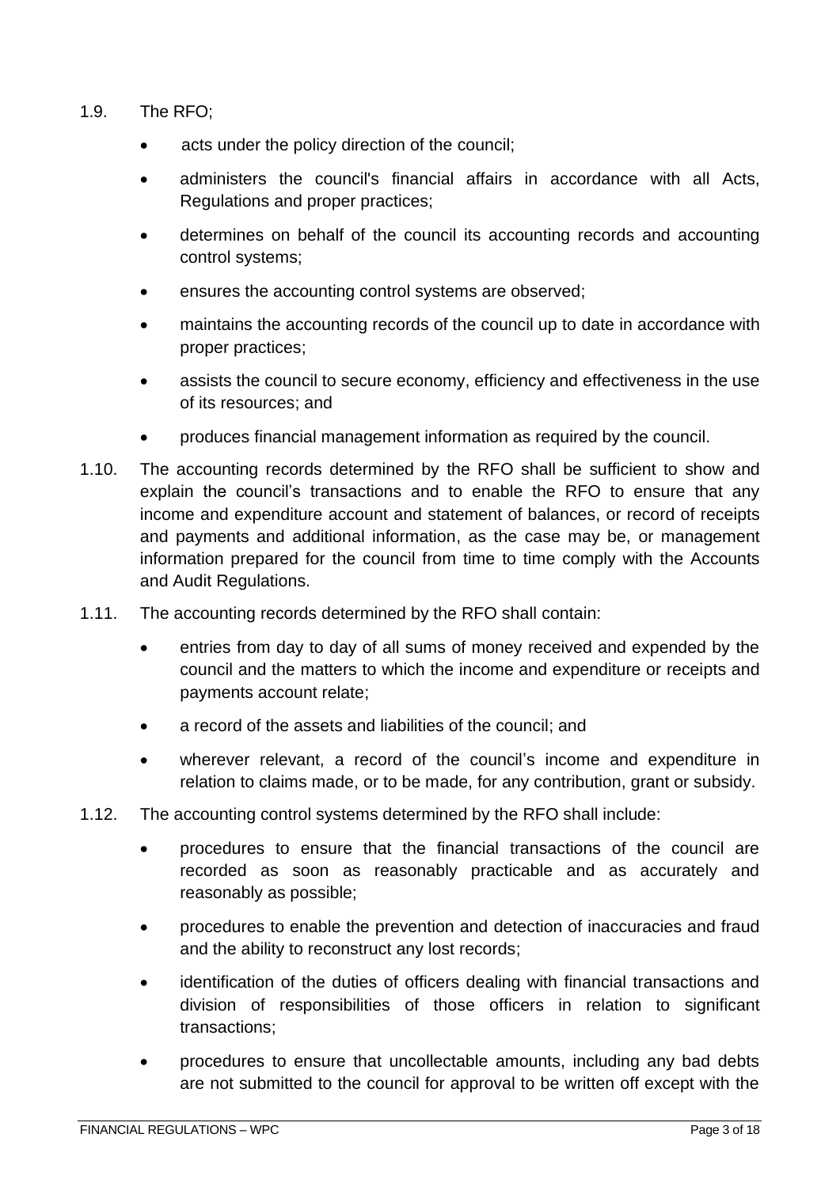- 1.9. The RFO;
	- acts under the policy direction of the council;
	- administers the council's financial affairs in accordance with all Acts, Regulations and proper practices;
	- determines on behalf of the council its accounting records and accounting control systems;
	- ensures the accounting control systems are observed;
	- maintains the accounting records of the council up to date in accordance with proper practices;
	- assists the council to secure economy, efficiency and effectiveness in the use of its resources; and
	- produces financial management information as required by the council.
- 1.10. The accounting records determined by the RFO shall be sufficient to show and explain the council's transactions and to enable the RFO to ensure that any income and expenditure account and statement of balances, or record of receipts and payments and additional information, as the case may be, or management information prepared for the council from time to time comply with the Accounts and Audit Regulations.
- 1.11. The accounting records determined by the RFO shall contain:
	- entries from day to day of all sums of money received and expended by the council and the matters to which the income and expenditure or receipts and payments account relate;
	- a record of the assets and liabilities of the council; and
	- wherever relevant, a record of the council's income and expenditure in relation to claims made, or to be made, for any contribution, grant or subsidy.
- 1.12. The accounting control systems determined by the RFO shall include:
	- procedures to ensure that the financial transactions of the council are recorded as soon as reasonably practicable and as accurately and reasonably as possible;
	- procedures to enable the prevention and detection of inaccuracies and fraud and the ability to reconstruct any lost records;
	- identification of the duties of officers dealing with financial transactions and division of responsibilities of those officers in relation to significant transactions;
	- procedures to ensure that uncollectable amounts, including any bad debts are not submitted to the council for approval to be written off except with the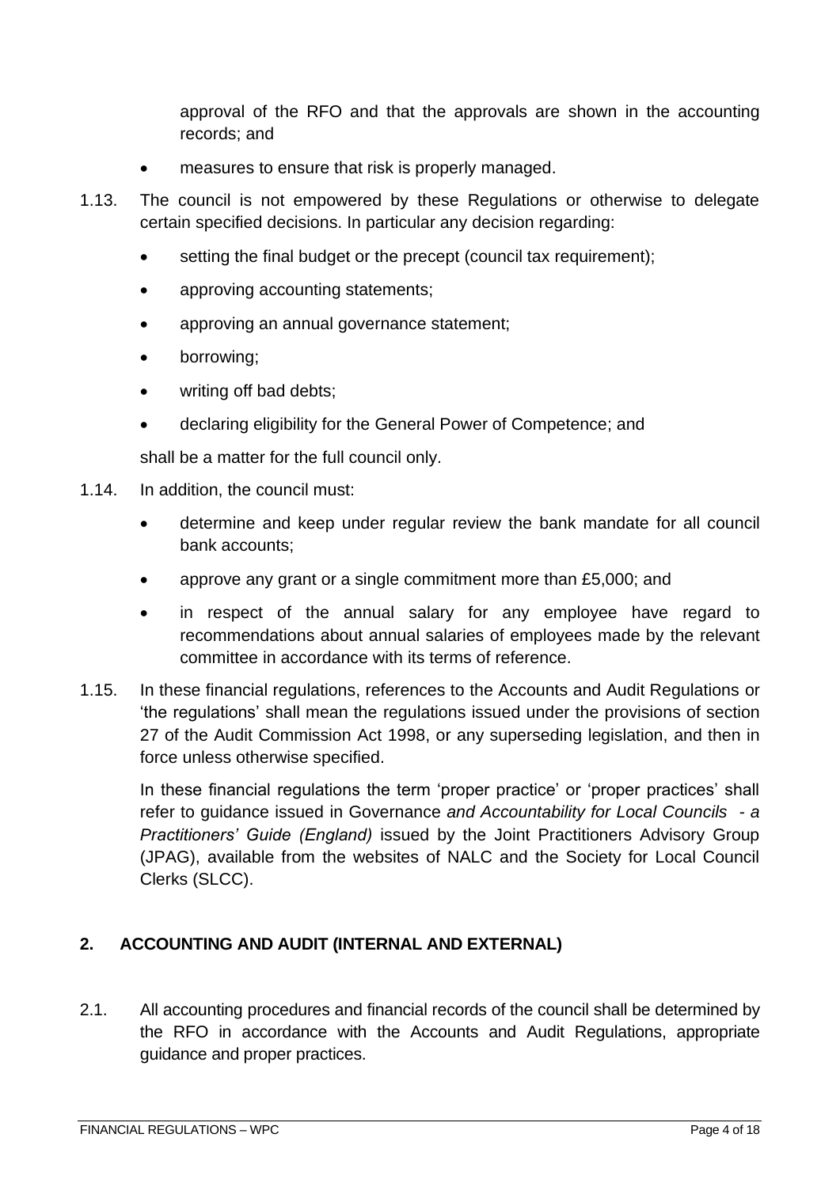approval of the RFO and that the approvals are shown in the accounting records; and

- measures to ensure that risk is properly managed.
- 1.13. The council is not empowered by these Regulations or otherwise to delegate certain specified decisions. In particular any decision regarding:
	- setting the final budget or the precept (council tax requirement);
	- approving accounting statements;
	- approving an annual governance statement;
	- borrowing;
	- writing off bad debts:
	- declaring eligibility for the General Power of Competence; and

shall be a matter for the full council only.

- 1.14. In addition, the council must:
	- determine and keep under regular review the bank mandate for all council bank accounts;
	- approve any grant or a single commitment more than £5,000; and
	- in respect of the annual salary for any employee have regard to recommendations about annual salaries of employees made by the relevant committee in accordance with its terms of reference.
- 1.15. In these financial regulations, references to the Accounts and Audit Regulations or 'the regulations' shall mean the regulations issued under the provisions of section 27 of the Audit Commission Act 1998, or any superseding legislation, and then in force unless otherwise specified.

In these financial regulations the term 'proper practice' or 'proper practices' shall refer to guidance issued in Governance *and Accountability for Local Councils - a Practitioners' Guide (England)* issued by the Joint Practitioners Advisory Group (JPAG), available from the websites of NALC and the Society for Local Council Clerks (SLCC).

# <span id="page-3-0"></span>**2. ACCOUNTING AND AUDIT (INTERNAL AND EXTERNAL)**

2.1. All accounting procedures and financial records of the council shall be determined by the RFO in accordance with the Accounts and Audit Regulations, appropriate guidance and proper practices.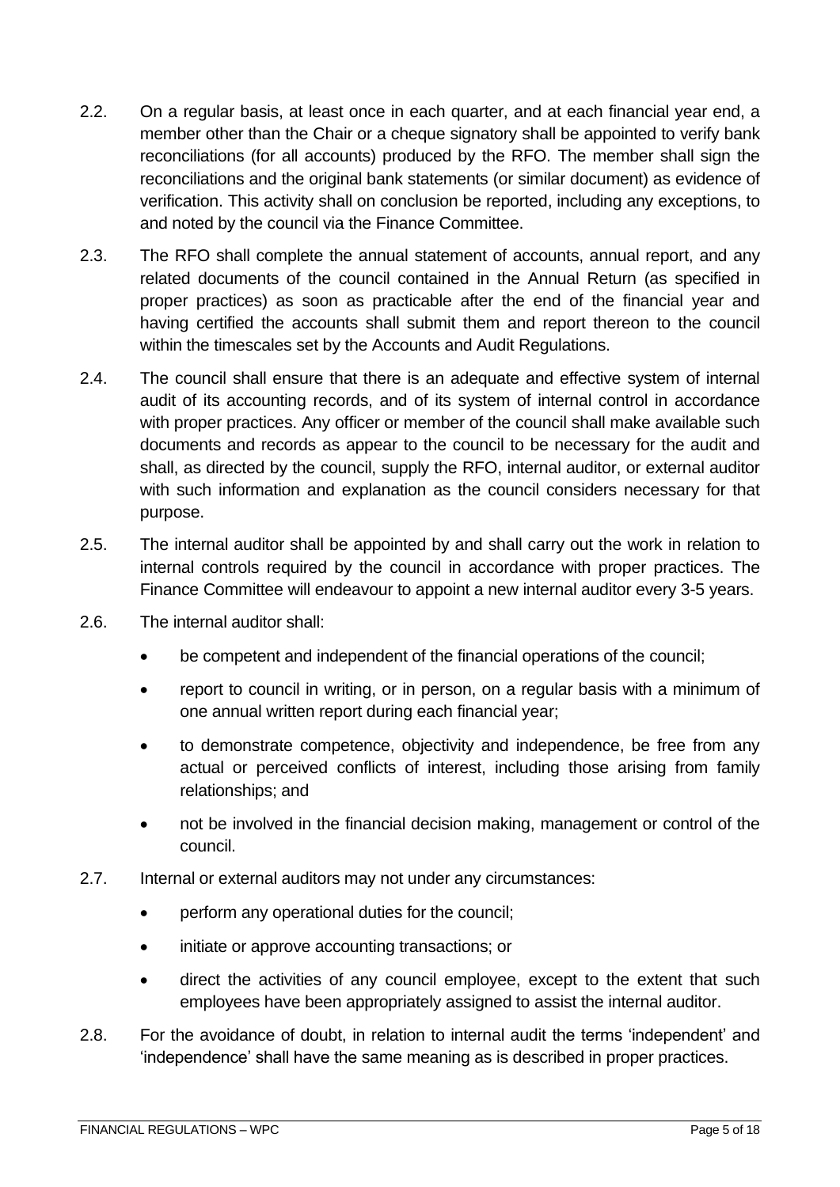- 2.2. On a regular basis, at least once in each quarter, and at each financial year end, a member other than the Chair or a cheque signatory shall be appointed to verify bank reconciliations (for all accounts) produced by the RFO. The member shall sign the reconciliations and the original bank statements (or similar document) as evidence of verification. This activity shall on conclusion be reported, including any exceptions, to and noted by the council via the Finance Committee.
- 2.3. The RFO shall complete the annual statement of accounts, annual report, and any related documents of the council contained in the Annual Return (as specified in proper practices) as soon as practicable after the end of the financial year and having certified the accounts shall submit them and report thereon to the council within the timescales set by the Accounts and Audit Regulations.
- 2.4. The council shall ensure that there is an adequate and effective system of internal audit of its accounting records, and of its system of internal control in accordance with proper practices. Any officer or member of the council shall make available such documents and records as appear to the council to be necessary for the audit and shall, as directed by the council, supply the RFO, internal auditor, or external auditor with such information and explanation as the council considers necessary for that purpose.
- 2.5. The internal auditor shall be appointed by and shall carry out the work in relation to internal controls required by the council in accordance with proper practices. The Finance Committee will endeavour to appoint a new internal auditor every 3-5 years.
- 2.6. The internal auditor shall:
	- be competent and independent of the financial operations of the council;
	- report to council in writing, or in person, on a regular basis with a minimum of one annual written report during each financial year;
	- to demonstrate competence, objectivity and independence, be free from any actual or perceived conflicts of interest, including those arising from family relationships; and
	- not be involved in the financial decision making, management or control of the council.
- 2.7. Internal or external auditors may not under any circumstances:
	- perform any operational duties for the council;
	- initiate or approve accounting transactions; or
	- direct the activities of any council employee, except to the extent that such employees have been appropriately assigned to assist the internal auditor.
- 2.8. For the avoidance of doubt, in relation to internal audit the terms 'independent' and 'independence' shall have the same meaning as is described in proper practices.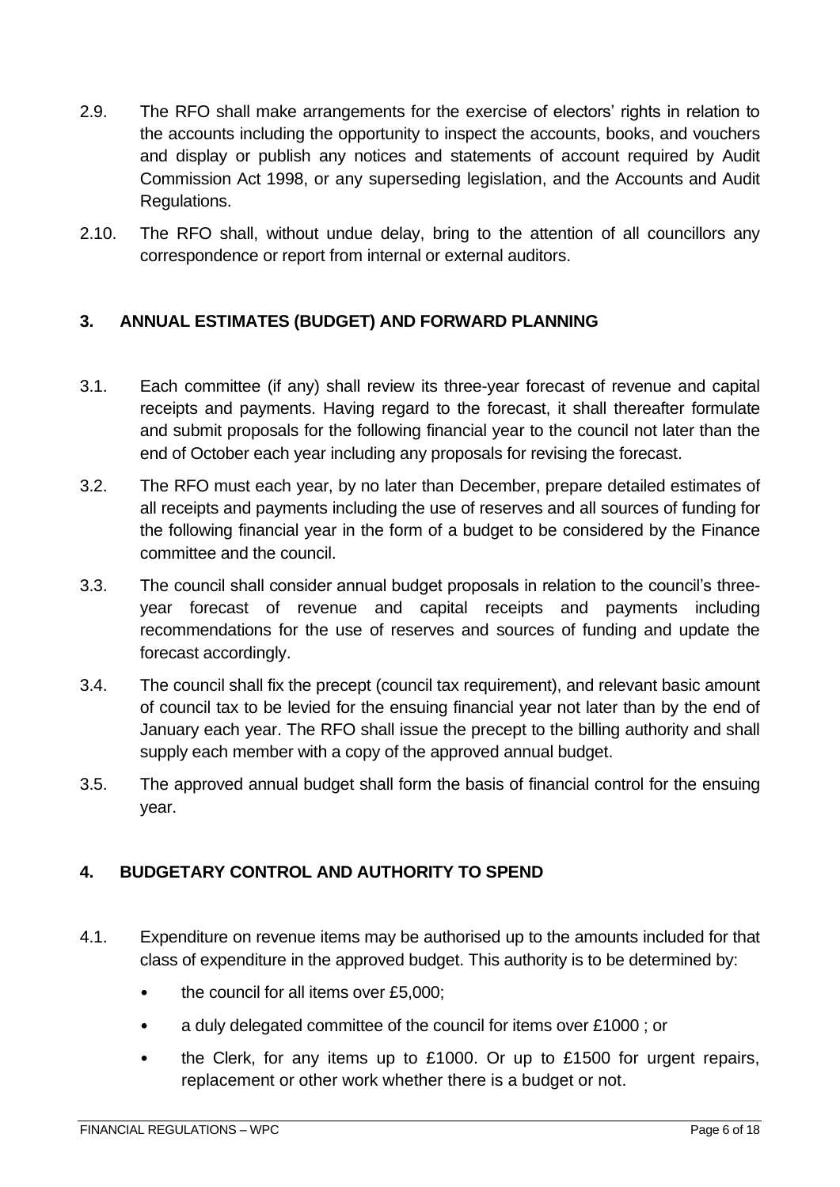- 2.9. The RFO shall make arrangements for the exercise of electors' rights in relation to the accounts including the opportunity to inspect the accounts, books, and vouchers and display or publish any notices and statements of account required by Audit Commission Act 1998, or any superseding legislation, and the Accounts and Audit Regulations.
- 2.10. The RFO shall, without undue delay, bring to the attention of all councillors any correspondence or report from internal or external auditors.

## <span id="page-5-0"></span>**3. ANNUAL ESTIMATES (BUDGET) AND FORWARD PLANNING**

- 3.1. Each committee (if any) shall review its three-year forecast of revenue and capital receipts and payments. Having regard to the forecast, it shall thereafter formulate and submit proposals for the following financial year to the council not later than the end of October each year including any proposals for revising the forecast.
- 3.2. The RFO must each year, by no later than December, prepare detailed estimates of all receipts and payments including the use of reserves and all sources of funding for the following financial year in the form of a budget to be considered by the Finance committee and the council.
- 3.3. The council shall consider annual budget proposals in relation to the council's threeyear forecast of revenue and capital receipts and payments including recommendations for the use of reserves and sources of funding and update the forecast accordingly.
- 3.4. The council shall fix the precept (council tax requirement), and relevant basic amount of council tax to be levied for the ensuing financial year not later than by the end of January each year. The RFO shall issue the precept to the billing authority and shall supply each member with a copy of the approved annual budget.
- 3.5. The approved annual budget shall form the basis of financial control for the ensuing year.

# <span id="page-5-1"></span>**4. BUDGETARY CONTROL AND AUTHORITY TO SPEND**

- 4.1. Expenditure on revenue items may be authorised up to the amounts included for that class of expenditure in the approved budget. This authority is to be determined by:
	- the council for all items over £5,000;
	- a duly delegated committee of the council for items over £1000 ; or
	- the Clerk, for any items up to £1000. Or up to £1500 for urgent repairs, replacement or other work whether there is a budget or not.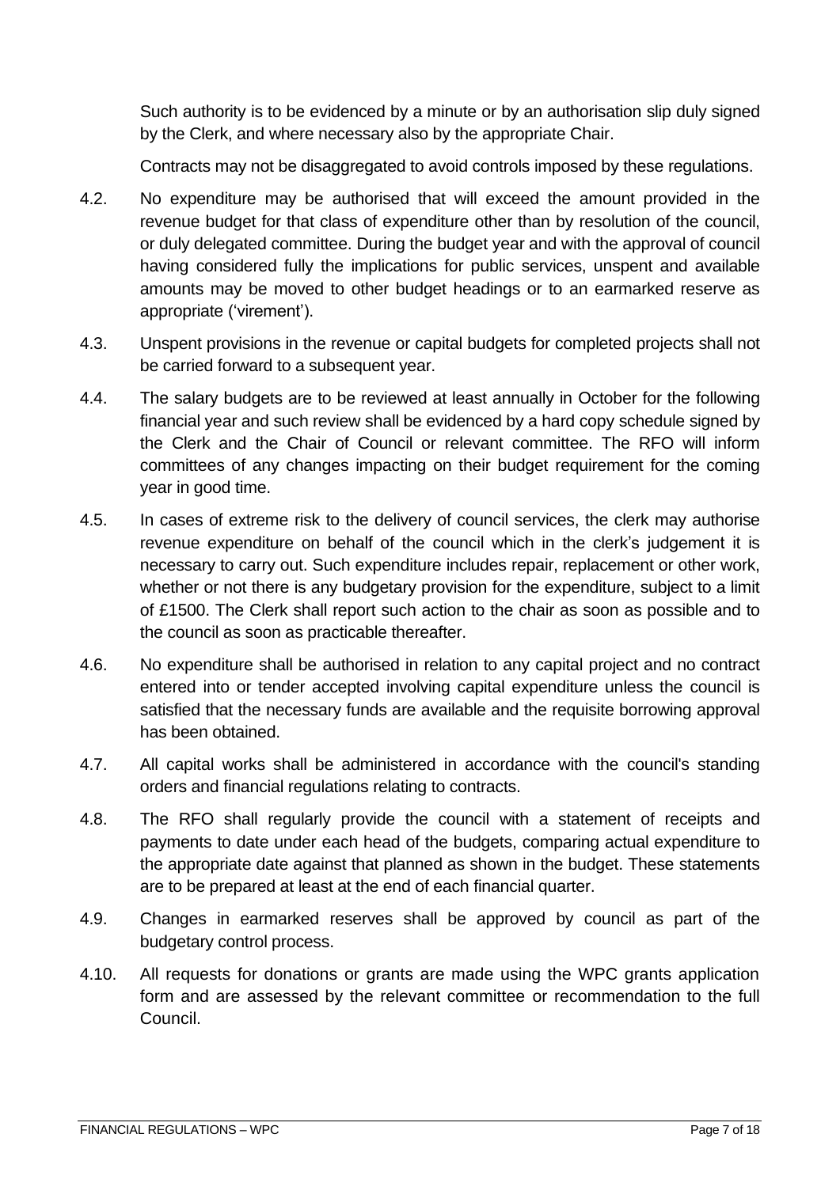Such authority is to be evidenced by a minute or by an authorisation slip duly signed by the Clerk, and where necessary also by the appropriate Chair.

Contracts may not be disaggregated to avoid controls imposed by these regulations.

- 4.2. No expenditure may be authorised that will exceed the amount provided in the revenue budget for that class of expenditure other than by resolution of the council, or duly delegated committee. During the budget year and with the approval of council having considered fully the implications for public services, unspent and available amounts may be moved to other budget headings or to an earmarked reserve as appropriate ('virement').
- 4.3. Unspent provisions in the revenue or capital budgets for completed projects shall not be carried forward to a subsequent year.
- 4.4. The salary budgets are to be reviewed at least annually in October for the following financial year and such review shall be evidenced by a hard copy schedule signed by the Clerk and the Chair of Council or relevant committee. The RFO will inform committees of any changes impacting on their budget requirement for the coming year in good time.
- 4.5. In cases of extreme risk to the delivery of council services, the clerk may authorise revenue expenditure on behalf of the council which in the clerk's judgement it is necessary to carry out. Such expenditure includes repair, replacement or other work, whether or not there is any budgetary provision for the expenditure, subject to a limit of £1500. The Clerk shall report such action to the chair as soon as possible and to the council as soon as practicable thereafter.
- 4.6. No expenditure shall be authorised in relation to any capital project and no contract entered into or tender accepted involving capital expenditure unless the council is satisfied that the necessary funds are available and the requisite borrowing approval has been obtained.
- 4.7. All capital works shall be administered in accordance with the council's standing orders and financial regulations relating to contracts.
- 4.8. The RFO shall regularly provide the council with a statement of receipts and payments to date under each head of the budgets, comparing actual expenditure to the appropriate date against that planned as shown in the budget. These statements are to be prepared at least at the end of each financial quarter.
- 4.9. Changes in earmarked reserves shall be approved by council as part of the budgetary control process.
- 4.10. All requests for donations or grants are made using the WPC grants application form and are assessed by the relevant committee or recommendation to the full Council.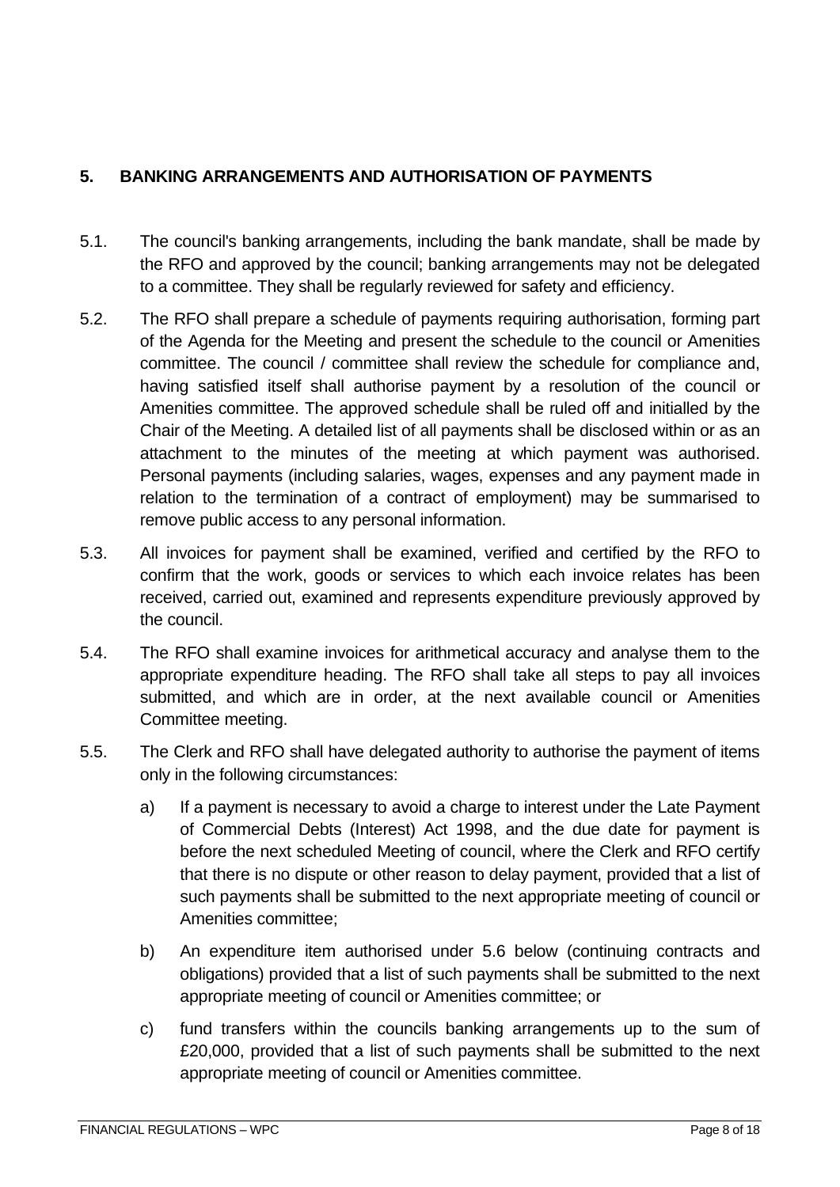## <span id="page-7-0"></span>**5. BANKING ARRANGEMENTS AND AUTHORISATION OF PAYMENTS**

- 5.1. The council's banking arrangements, including the bank mandate, shall be made by the RFO and approved by the council; banking arrangements may not be delegated to a committee. They shall be regularly reviewed for safety and efficiency.
- 5.2. The RFO shall prepare a schedule of payments requiring authorisation, forming part of the Agenda for the Meeting and present the schedule to the council or Amenities committee. The council / committee shall review the schedule for compliance and, having satisfied itself shall authorise payment by a resolution of the council or Amenities committee. The approved schedule shall be ruled off and initialled by the Chair of the Meeting. A detailed list of all payments shall be disclosed within or as an attachment to the minutes of the meeting at which payment was authorised. Personal payments (including salaries, wages, expenses and any payment made in relation to the termination of a contract of employment) may be summarised to remove public access to any personal information.
- 5.3. All invoices for payment shall be examined, verified and certified by the RFO to confirm that the work, goods or services to which each invoice relates has been received, carried out, examined and represents expenditure previously approved by the council.
- 5.4. The RFO shall examine invoices for arithmetical accuracy and analyse them to the appropriate expenditure heading. The RFO shall take all steps to pay all invoices submitted, and which are in order, at the next available council or Amenities Committee meeting.
- 5.5. The Clerk and RFO shall have delegated authority to authorise the payment of items only in the following circumstances:
	- a) If a payment is necessary to avoid a charge to interest under the Late Payment of Commercial Debts (Interest) Act 1998, and the due date for payment is before the next scheduled Meeting of council, where the Clerk and RFO certify that there is no dispute or other reason to delay payment, provided that a list of such payments shall be submitted to the next appropriate meeting of council or Amenities committee;
	- b) An expenditure item authorised under 5.6 below (continuing contracts and obligations) provided that a list of such payments shall be submitted to the next appropriate meeting of council or Amenities committee; or
	- c) fund transfers within the councils banking arrangements up to the sum of £20,000, provided that a list of such payments shall be submitted to the next appropriate meeting of council or Amenities committee.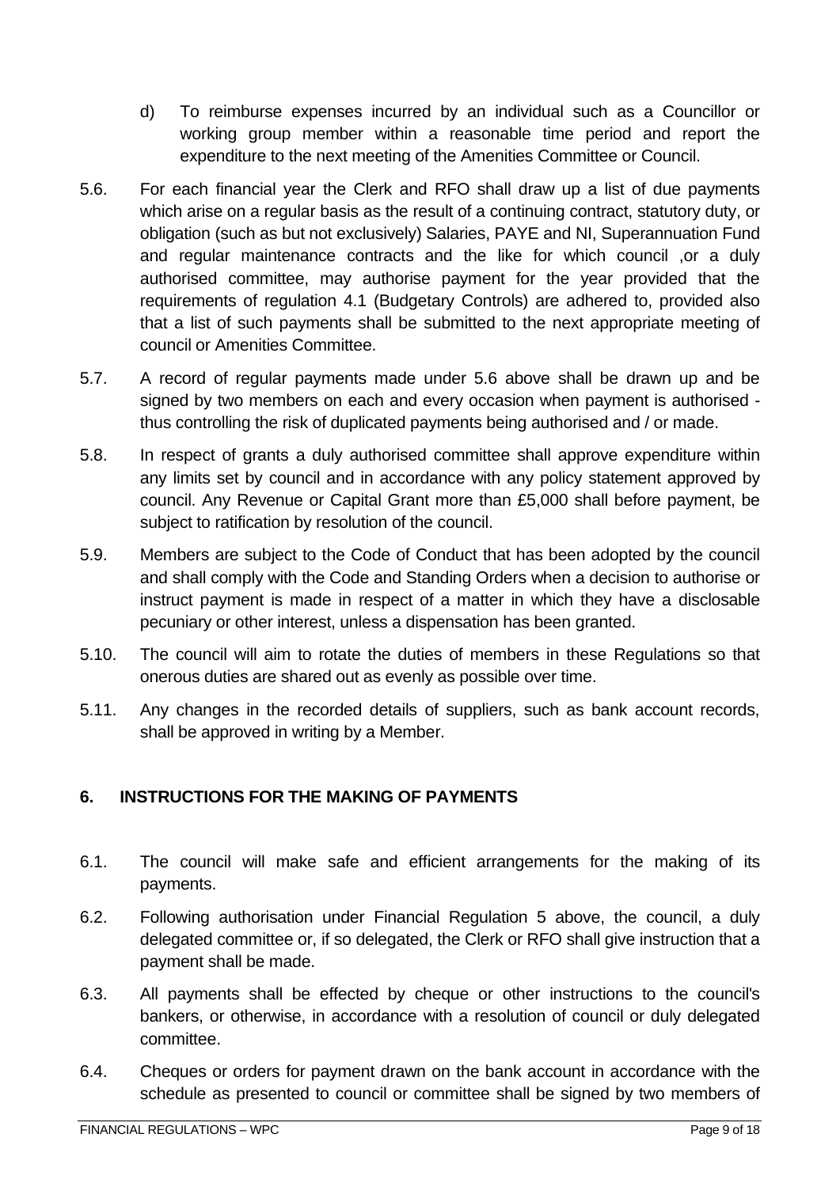- d) To reimburse expenses incurred by an individual such as a Councillor or working group member within a reasonable time period and report the expenditure to the next meeting of the Amenities Committee or Council.
- 5.6. For each financial year the Clerk and RFO shall draw up a list of due payments which arise on a regular basis as the result of a continuing contract, statutory duty, or obligation (such as but not exclusively) Salaries, PAYE and NI, Superannuation Fund and regular maintenance contracts and the like for which council ,or a duly authorised committee, may authorise payment for the year provided that the requirements of regulation 4.1 (Budgetary Controls) are adhered to, provided also that a list of such payments shall be submitted to the next appropriate meeting of council or Amenities Committee.
- 5.7. A record of regular payments made under 5.6 above shall be drawn up and be signed by two members on each and every occasion when payment is authorised thus controlling the risk of duplicated payments being authorised and / or made.
- 5.8. In respect of grants a duly authorised committee shall approve expenditure within any limits set by council and in accordance with any policy statement approved by council. Any Revenue or Capital Grant more than £5,000 shall before payment, be subject to ratification by resolution of the council.
- 5.9. Members are subject to the Code of Conduct that has been adopted by the council and shall comply with the Code and Standing Orders when a decision to authorise or instruct payment is made in respect of a matter in which they have a disclosable pecuniary or other interest, unless a dispensation has been granted.
- 5.10. The council will aim to rotate the duties of members in these Regulations so that onerous duties are shared out as evenly as possible over time.
- 5.11. Any changes in the recorded details of suppliers, such as bank account records, shall be approved in writing by a Member.

# <span id="page-8-0"></span>**6. INSTRUCTIONS FOR THE MAKING OF PAYMENTS**

- 6.1. The council will make safe and efficient arrangements for the making of its payments.
- 6.2. Following authorisation under Financial Regulation 5 above, the council, a duly delegated committee or, if so delegated, the Clerk or RFO shall give instruction that a payment shall be made.
- 6.3. All payments shall be effected by cheque or other instructions to the council's bankers, or otherwise, in accordance with a resolution of council or duly delegated committee.
- 6.4. Cheques or orders for payment drawn on the bank account in accordance with the schedule as presented to council or committee shall be signed by two members of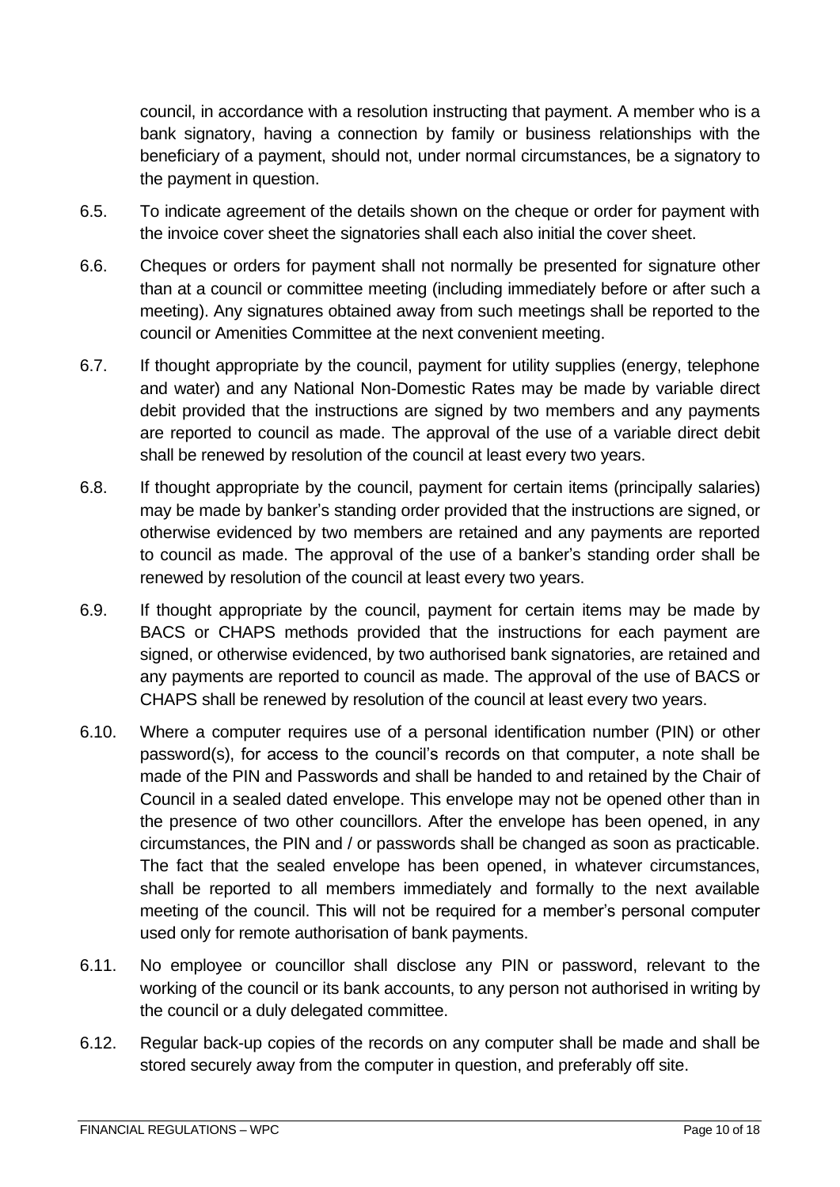council, in accordance with a resolution instructing that payment. A member who is a bank signatory, having a connection by family or business relationships with the beneficiary of a payment, should not, under normal circumstances, be a signatory to the payment in question.

- 6.5. To indicate agreement of the details shown on the cheque or order for payment with the invoice cover sheet the signatories shall each also initial the cover sheet.
- 6.6. Cheques or orders for payment shall not normally be presented for signature other than at a council or committee meeting (including immediately before or after such a meeting). Any signatures obtained away from such meetings shall be reported to the council or Amenities Committee at the next convenient meeting.
- 6.7. If thought appropriate by the council, payment for utility supplies (energy, telephone and water) and any National Non-Domestic Rates may be made by variable direct debit provided that the instructions are signed by two members and any payments are reported to council as made. The approval of the use of a variable direct debit shall be renewed by resolution of the council at least every two years.
- 6.8. If thought appropriate by the council, payment for certain items (principally salaries) may be made by banker's standing order provided that the instructions are signed, or otherwise evidenced by two members are retained and any payments are reported to council as made. The approval of the use of a banker's standing order shall be renewed by resolution of the council at least every two years.
- 6.9. If thought appropriate by the council, payment for certain items may be made by BACS or CHAPS methods provided that the instructions for each payment are signed, or otherwise evidenced, by two authorised bank signatories, are retained and any payments are reported to council as made. The approval of the use of BACS or CHAPS shall be renewed by resolution of the council at least every two years.
- 6.10. Where a computer requires use of a personal identification number (PIN) or other password(s), for access to the council's records on that computer, a note shall be made of the PIN and Passwords and shall be handed to and retained by the Chair of Council in a sealed dated envelope. This envelope may not be opened other than in the presence of two other councillors. After the envelope has been opened, in any circumstances, the PIN and / or passwords shall be changed as soon as practicable. The fact that the sealed envelope has been opened, in whatever circumstances, shall be reported to all members immediately and formally to the next available meeting of the council. This will not be required for a member's personal computer used only for remote authorisation of bank payments.
- 6.11. No employee or councillor shall disclose any PIN or password, relevant to the working of the council or its bank accounts, to any person not authorised in writing by the council or a duly delegated committee.
- 6.12. Regular back-up copies of the records on any computer shall be made and shall be stored securely away from the computer in question, and preferably off site.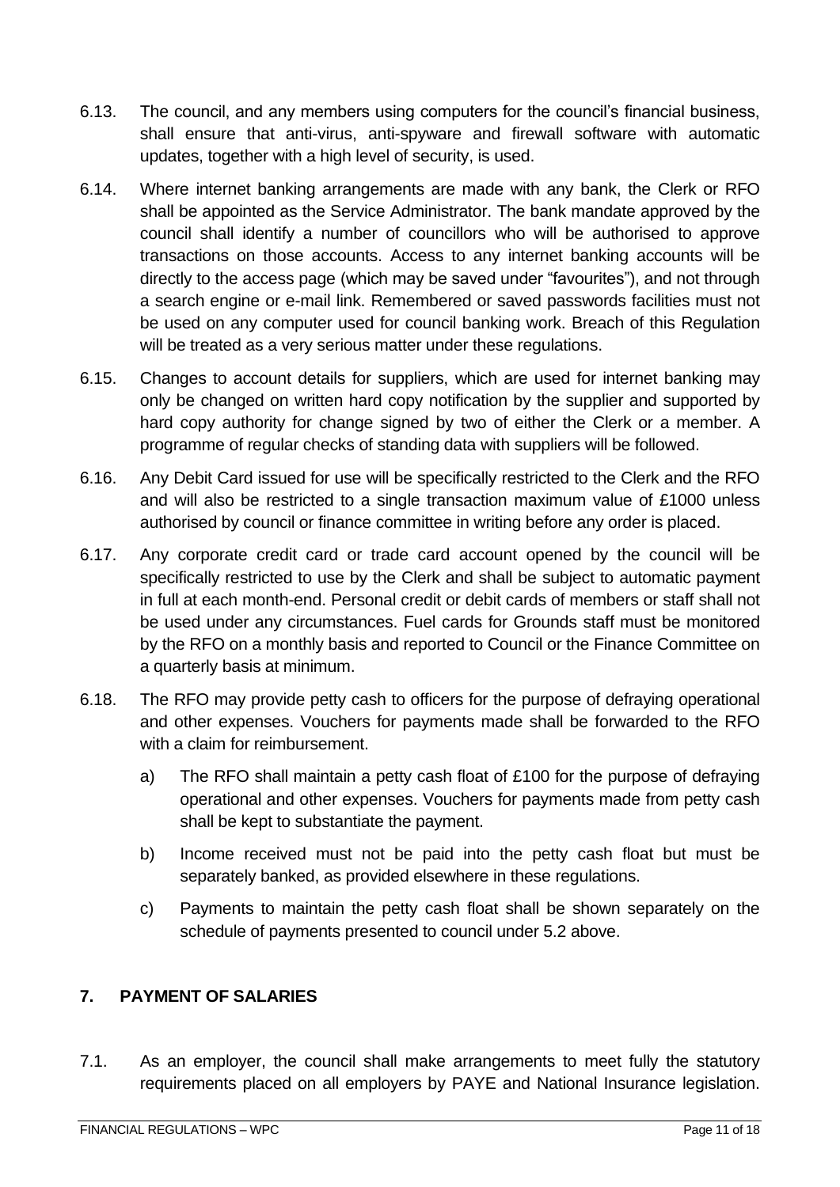- 6.13. The council, and any members using computers for the council's financial business, shall ensure that anti-virus, anti-spyware and firewall software with automatic updates, together with a high level of security, is used.
- 6.14. Where internet banking arrangements are made with any bank, the Clerk or RFO shall be appointed as the Service Administrator. The bank mandate approved by the council shall identify a number of councillors who will be authorised to approve transactions on those accounts. Access to any internet banking accounts will be directly to the access page (which may be saved under "favourites"), and not through a search engine or e-mail link. Remembered or saved passwords facilities must not be used on any computer used for council banking work. Breach of this Regulation will be treated as a very serious matter under these regulations.
- 6.15. Changes to account details for suppliers, which are used for internet banking may only be changed on written hard copy notification by the supplier and supported by hard copy authority for change signed by two of either the Clerk or a member. A programme of regular checks of standing data with suppliers will be followed.
- 6.16. Any Debit Card issued for use will be specifically restricted to the Clerk and the RFO and will also be restricted to a single transaction maximum value of £1000 unless authorised by council or finance committee in writing before any order is placed.
- 6.17. Any corporate credit card or trade card account opened by the council will be specifically restricted to use by the Clerk and shall be subject to automatic payment in full at each month-end. Personal credit or debit cards of members or staff shall not be used under any circumstances. Fuel cards for Grounds staff must be monitored by the RFO on a monthly basis and reported to Council or the Finance Committee on a quarterly basis at minimum.
- 6.18. The RFO may provide petty cash to officers for the purpose of defraying operational and other expenses. Vouchers for payments made shall be forwarded to the RFO with a claim for reimbursement.
	- a) The RFO shall maintain a petty cash float of £100 for the purpose of defraying operational and other expenses. Vouchers for payments made from petty cash shall be kept to substantiate the payment.
	- b) Income received must not be paid into the petty cash float but must be separately banked, as provided elsewhere in these regulations.
	- c) Payments to maintain the petty cash float shall be shown separately on the schedule of payments presented to council under 5.2 above.

# <span id="page-10-0"></span>**7. PAYMENT OF SALARIES**

7.1. As an employer, the council shall make arrangements to meet fully the statutory requirements placed on all employers by PAYE and National Insurance legislation.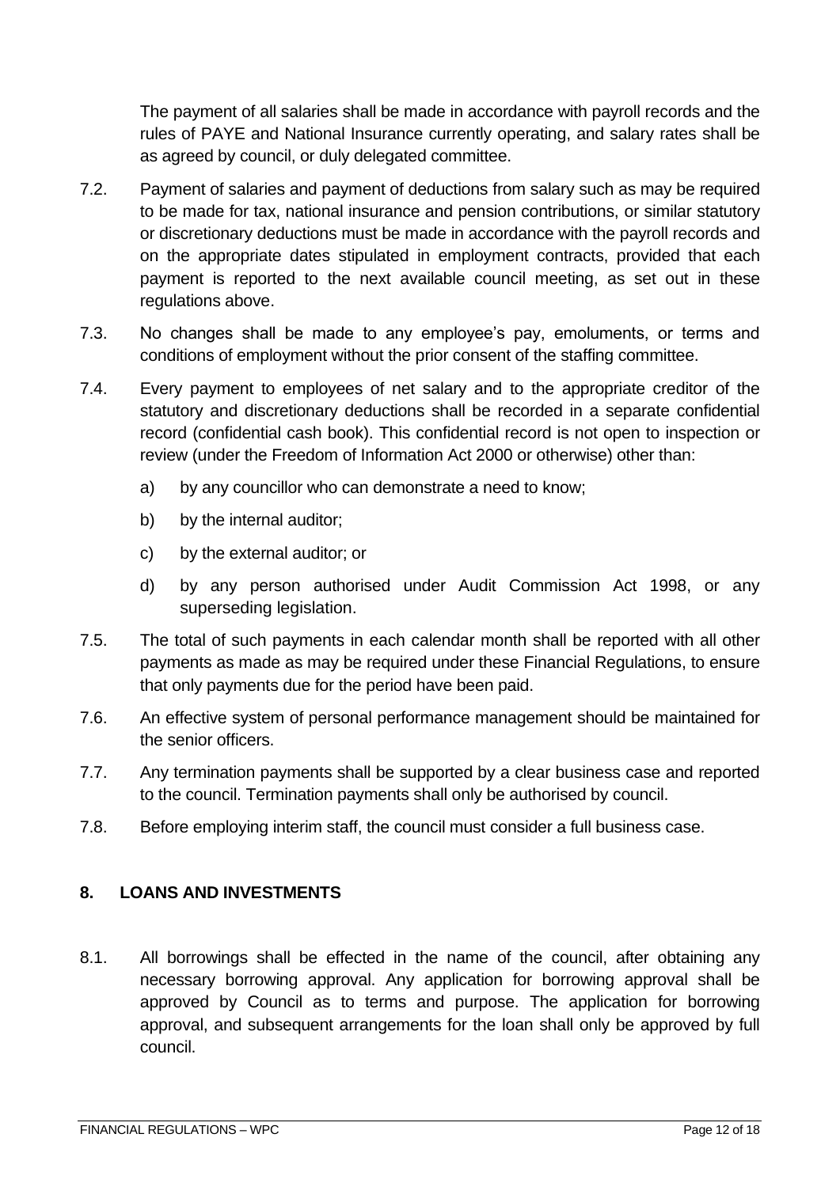The payment of all salaries shall be made in accordance with payroll records and the rules of PAYE and National Insurance currently operating, and salary rates shall be as agreed by council, or duly delegated committee.

- 7.2. Payment of salaries and payment of deductions from salary such as may be required to be made for tax, national insurance and pension contributions, or similar statutory or discretionary deductions must be made in accordance with the payroll records and on the appropriate dates stipulated in employment contracts, provided that each payment is reported to the next available council meeting, as set out in these regulations above.
- 7.3. No changes shall be made to any employee's pay, emoluments, or terms and conditions of employment without the prior consent of the staffing committee.
- 7.4. Every payment to employees of net salary and to the appropriate creditor of the statutory and discretionary deductions shall be recorded in a separate confidential record (confidential cash book). This confidential record is not open to inspection or review (under the Freedom of Information Act 2000 or otherwise) other than:
	- a) by any councillor who can demonstrate a need to know;
	- b) by the internal auditor;
	- c) by the external auditor; or
	- d) by any person authorised under Audit Commission Act 1998, or any superseding legislation.
- 7.5. The total of such payments in each calendar month shall be reported with all other payments as made as may be required under these Financial Regulations, to ensure that only payments due for the period have been paid.
- 7.6. An effective system of personal performance management should be maintained for the senior officers.
- 7.7. Any termination payments shall be supported by a clear business case and reported to the council. Termination payments shall only be authorised by council.
- 7.8. Before employing interim staff, the council must consider a full business case.

#### <span id="page-11-0"></span>**8. LOANS AND INVESTMENTS**

8.1. All borrowings shall be effected in the name of the council, after obtaining any necessary borrowing approval. Any application for borrowing approval shall be approved by Council as to terms and purpose. The application for borrowing approval, and subsequent arrangements for the loan shall only be approved by full council.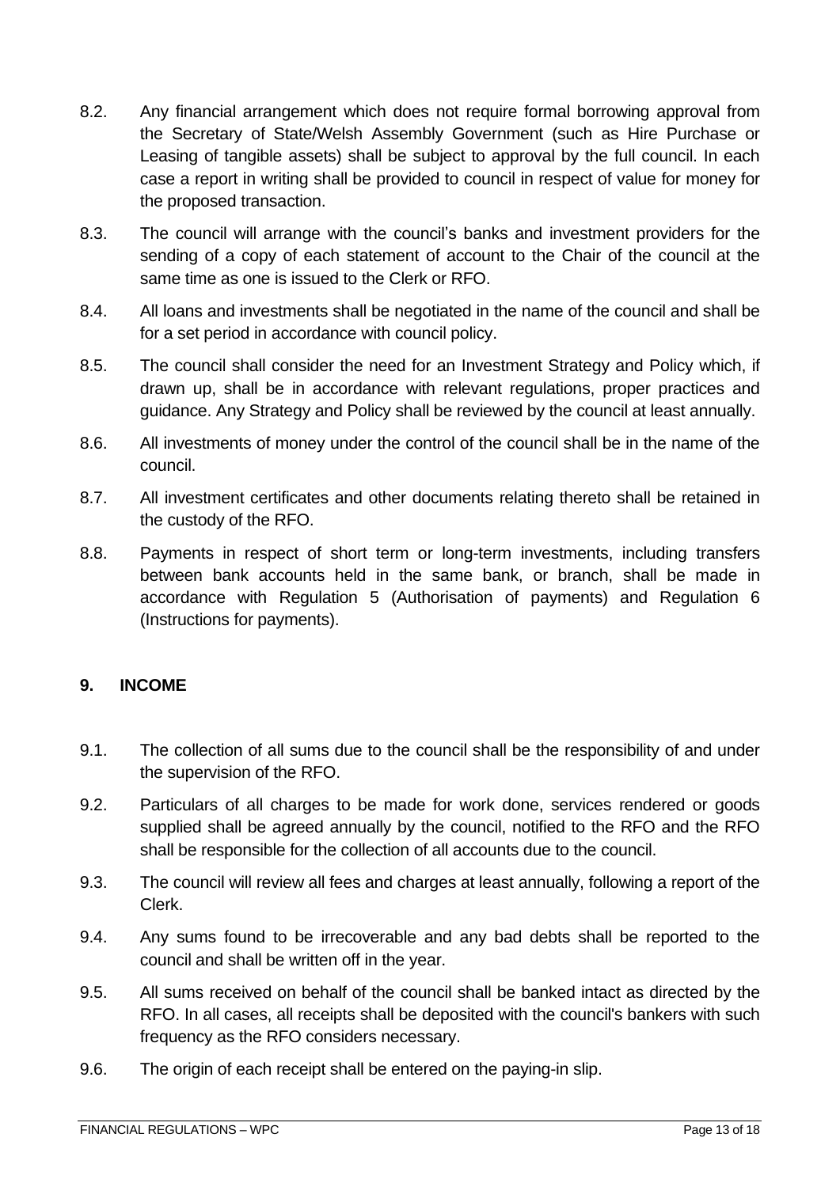- 8.2. Any financial arrangement which does not require formal borrowing approval from the Secretary of State/Welsh Assembly Government (such as Hire Purchase or Leasing of tangible assets) shall be subject to approval by the full council. In each case a report in writing shall be provided to council in respect of value for money for the proposed transaction.
- 8.3. The council will arrange with the council's banks and investment providers for the sending of a copy of each statement of account to the Chair of the council at the same time as one is issued to the Clerk or RFO.
- 8.4. All loans and investments shall be negotiated in the name of the council and shall be for a set period in accordance with council policy.
- 8.5. The council shall consider the need for an Investment Strategy and Policy which, if drawn up, shall be in accordance with relevant regulations, proper practices and guidance. Any Strategy and Policy shall be reviewed by the council at least annually.
- 8.6. All investments of money under the control of the council shall be in the name of the council.
- 8.7. All investment certificates and other documents relating thereto shall be retained in the custody of the RFO.
- 8.8. Payments in respect of short term or long-term investments, including transfers between bank accounts held in the same bank, or branch, shall be made in accordance with Regulation 5 (Authorisation of payments) and Regulation 6 (Instructions for payments).

#### <span id="page-12-0"></span>**9. INCOME**

- 9.1. The collection of all sums due to the council shall be the responsibility of and under the supervision of the RFO.
- 9.2. Particulars of all charges to be made for work done, services rendered or goods supplied shall be agreed annually by the council, notified to the RFO and the RFO shall be responsible for the collection of all accounts due to the council.
- 9.3. The council will review all fees and charges at least annually, following a report of the Clerk.
- 9.4. Any sums found to be irrecoverable and any bad debts shall be reported to the council and shall be written off in the year.
- 9.5. All sums received on behalf of the council shall be banked intact as directed by the RFO. In all cases, all receipts shall be deposited with the council's bankers with such frequency as the RFO considers necessary.
- 9.6. The origin of each receipt shall be entered on the paying-in slip.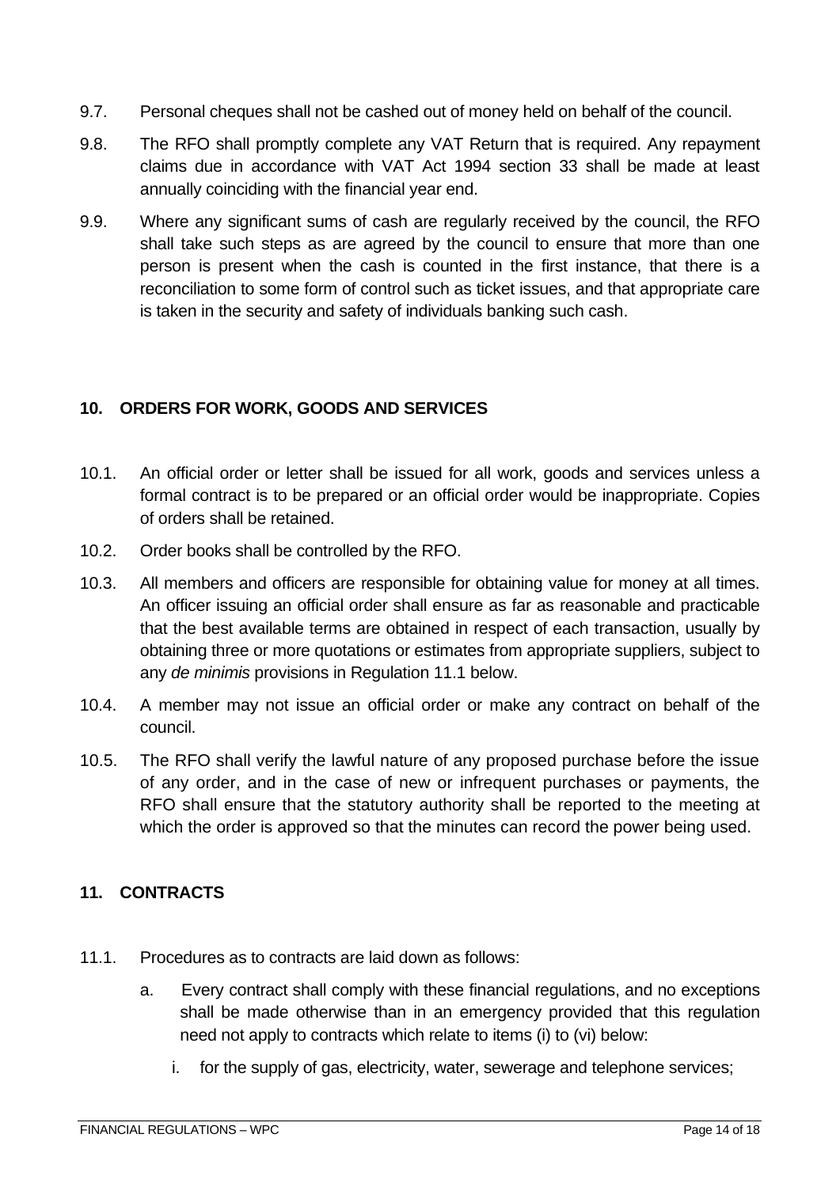- 9.7. Personal cheques shall not be cashed out of money held on behalf of the council.
- 9.8. The RFO shall promptly complete any VAT Return that is required. Any repayment claims due in accordance with VAT Act 1994 section 33 shall be made at least annually coinciding with the financial year end.
- 9.9. Where any significant sums of cash are regularly received by the council, the RFO shall take such steps as are agreed by the council to ensure that more than one person is present when the cash is counted in the first instance, that there is a reconciliation to some form of control such as ticket issues, and that appropriate care is taken in the security and safety of individuals banking such cash.

## <span id="page-13-0"></span>**10. ORDERS FOR WORK, GOODS AND SERVICES**

- 10.1. An official order or letter shall be issued for all work, goods and services unless a formal contract is to be prepared or an official order would be inappropriate. Copies of orders shall be retained.
- 10.2. Order books shall be controlled by the RFO.
- 10.3. All members and officers are responsible for obtaining value for money at all times. An officer issuing an official order shall ensure as far as reasonable and practicable that the best available terms are obtained in respect of each transaction, usually by obtaining three or more quotations or estimates from appropriate suppliers, subject to any *de minimis* provisions in Regulation 11.1 below.
- 10.4. A member may not issue an official order or make any contract on behalf of the council.
- 10.5. The RFO shall verify the lawful nature of any proposed purchase before the issue of any order, and in the case of new or infrequent purchases or payments, the RFO shall ensure that the statutory authority shall be reported to the meeting at which the order is approved so that the minutes can record the power being used.

# <span id="page-13-1"></span>**11. CONTRACTS**

- 11.1. Procedures as to contracts are laid down as follows:
	- a. Every contract shall comply with these financial regulations, and no exceptions shall be made otherwise than in an emergency provided that this regulation need not apply to contracts which relate to items (i) to (vi) below:
		- i. for the supply of gas, electricity, water, sewerage and telephone services;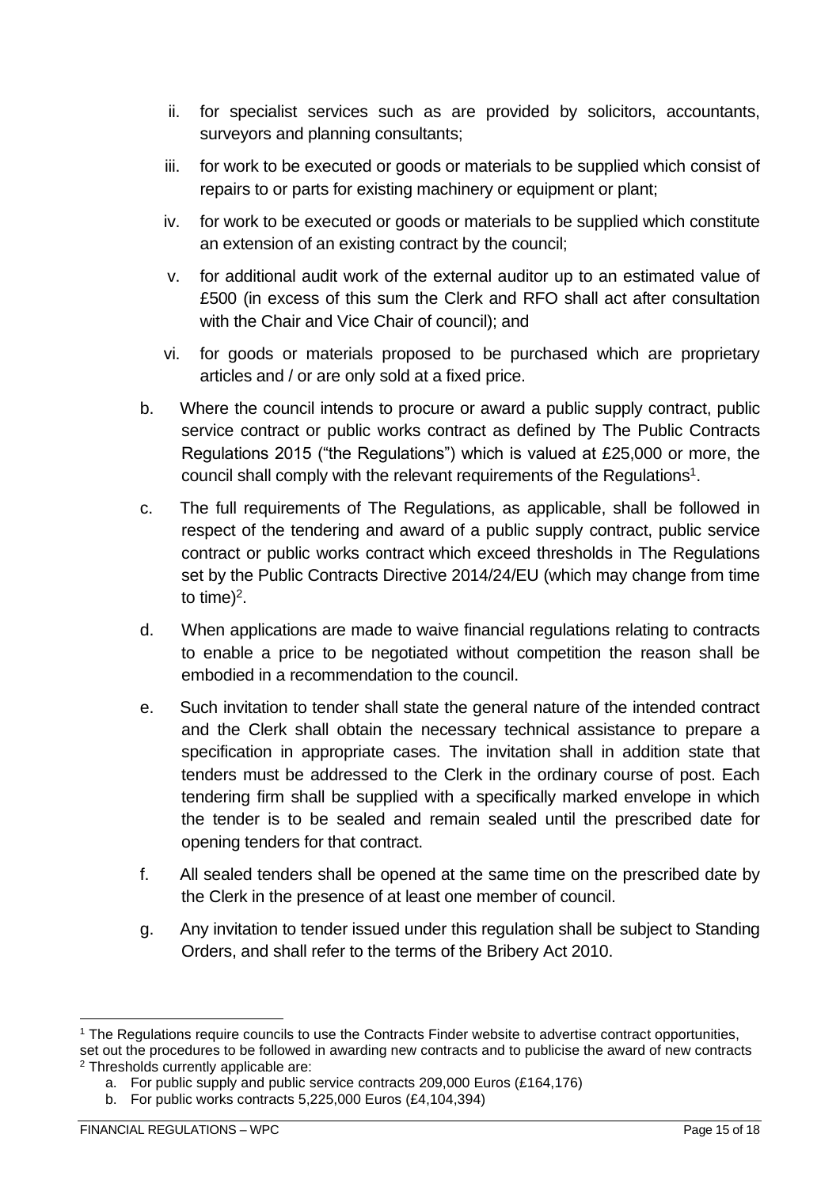- ii. for specialist services such as are provided by solicitors, accountants, surveyors and planning consultants;
- iii. for work to be executed or goods or materials to be supplied which consist of repairs to or parts for existing machinery or equipment or plant;
- iv. for work to be executed or goods or materials to be supplied which constitute an extension of an existing contract by the council;
- v. for additional audit work of the external auditor up to an estimated value of £500 (in excess of this sum the Clerk and RFO shall act after consultation with the Chair and Vice Chair of council); and
- vi. for goods or materials proposed to be purchased which are proprietary articles and / or are only sold at a fixed price.
- b. Where the council intends to procure or award a public supply contract, public service contract or public works contract as defined by The Public Contracts Regulations 2015 ("the Regulations") which is valued at £25,000 or more, the council shall comply with the relevant requirements of the Regulations<sup>1</sup>.
- c. The full requirements of The Regulations, as applicable, shall be followed in respect of the tendering and award of a public supply contract, public service contract or public works contract which exceed thresholds in The Regulations set by the Public Contracts Directive 2014/24/EU (which may change from time to time)<sup>2</sup>.
- d. When applications are made to waive financial regulations relating to contracts to enable a price to be negotiated without competition the reason shall be embodied in a recommendation to the council.
- e. Such invitation to tender shall state the general nature of the intended contract and the Clerk shall obtain the necessary technical assistance to prepare a specification in appropriate cases. The invitation shall in addition state that tenders must be addressed to the Clerk in the ordinary course of post. Each tendering firm shall be supplied with a specifically marked envelope in which the tender is to be sealed and remain sealed until the prescribed date for opening tenders for that contract.
- f. All sealed tenders shall be opened at the same time on the prescribed date by the Clerk in the presence of at least one member of council.
- g. Any invitation to tender issued under this regulation shall be subject to Standing Orders, and shall refer to the terms of the Bribery Act 2010.

<sup>1</sup> The Regulations require councils to use the Contracts Finder website to advertise contract opportunities, set out the procedures to be followed in awarding new contracts and to publicise the award of new contracts <sup>2</sup> Thresholds currently applicable are:

a. For public supply and public service contracts 209,000 Euros (£164,176)

b. For public works contracts 5,225,000 Euros (£4,104,394)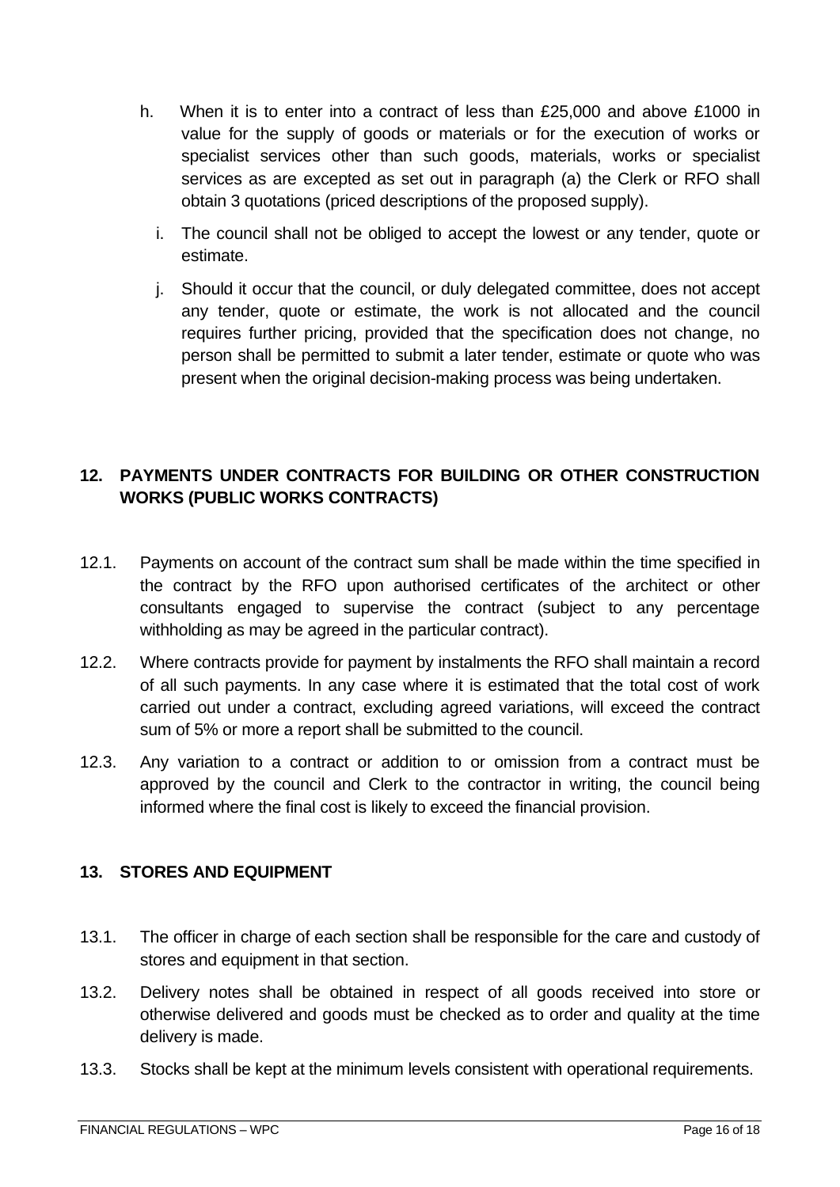- h. When it is to enter into a contract of less than £25,000 and above £1000 in value for the supply of goods or materials or for the execution of works or specialist services other than such goods, materials, works or specialist services as are excepted as set out in paragraph (a) the Clerk or RFO shall obtain 3 quotations (priced descriptions of the proposed supply).
	- i. The council shall not be obliged to accept the lowest or any tender, quote or estimate.
	- j. Should it occur that the council, or duly delegated committee, does not accept any tender, quote or estimate, the work is not allocated and the council requires further pricing, provided that the specification does not change, no person shall be permitted to submit a later tender, estimate or quote who was present when the original decision-making process was being undertaken.

# <span id="page-15-0"></span>**12. PAYMENTS UNDER CONTRACTS FOR BUILDING OR OTHER CONSTRUCTION WORKS (PUBLIC WORKS CONTRACTS)**

- 12.1. Payments on account of the contract sum shall be made within the time specified in the contract by the RFO upon authorised certificates of the architect or other consultants engaged to supervise the contract (subject to any percentage withholding as may be agreed in the particular contract).
- 12.2. Where contracts provide for payment by instalments the RFO shall maintain a record of all such payments. In any case where it is estimated that the total cost of work carried out under a contract, excluding agreed variations, will exceed the contract sum of 5% or more a report shall be submitted to the council.
- 12.3. Any variation to a contract or addition to or omission from a contract must be approved by the council and Clerk to the contractor in writing, the council being informed where the final cost is likely to exceed the financial provision.

# <span id="page-15-1"></span>**13. STORES AND EQUIPMENT**

- 13.1. The officer in charge of each section shall be responsible for the care and custody of stores and equipment in that section.
- 13.2. Delivery notes shall be obtained in respect of all goods received into store or otherwise delivered and goods must be checked as to order and quality at the time delivery is made.
- 13.3. Stocks shall be kept at the minimum levels consistent with operational requirements.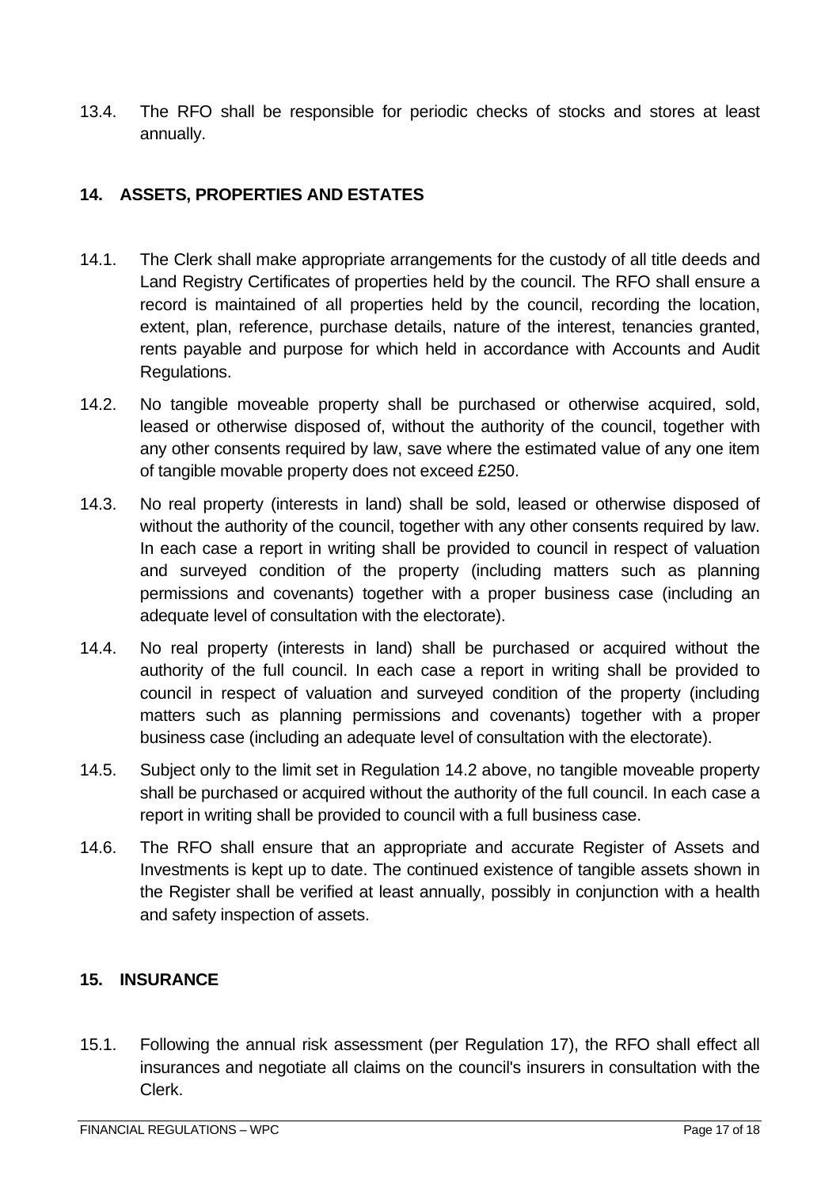13.4. The RFO shall be responsible for periodic checks of stocks and stores at least annually.

## <span id="page-16-0"></span>**14. ASSETS, PROPERTIES AND ESTATES**

- 14.1. The Clerk shall make appropriate arrangements for the custody of all title deeds and Land Registry Certificates of properties held by the council. The RFO shall ensure a record is maintained of all properties held by the council, recording the location, extent, plan, reference, purchase details, nature of the interest, tenancies granted, rents payable and purpose for which held in accordance with Accounts and Audit Regulations.
- 14.2. No tangible moveable property shall be purchased or otherwise acquired, sold, leased or otherwise disposed of, without the authority of the council, together with any other consents required by law, save where the estimated value of any one item of tangible movable property does not exceed £250.
- 14.3. No real property (interests in land) shall be sold, leased or otherwise disposed of without the authority of the council, together with any other consents required by law. In each case a report in writing shall be provided to council in respect of valuation and surveyed condition of the property (including matters such as planning permissions and covenants) together with a proper business case (including an adequate level of consultation with the electorate).
- 14.4. No real property (interests in land) shall be purchased or acquired without the authority of the full council. In each case a report in writing shall be provided to council in respect of valuation and surveyed condition of the property (including matters such as planning permissions and covenants) together with a proper business case (including an adequate level of consultation with the electorate).
- 14.5. Subject only to the limit set in Regulation 14.2 above, no tangible moveable property shall be purchased or acquired without the authority of the full council. In each case a report in writing shall be provided to council with a full business case.
- 14.6. The RFO shall ensure that an appropriate and accurate Register of Assets and Investments is kept up to date. The continued existence of tangible assets shown in the Register shall be verified at least annually, possibly in conjunction with a health and safety inspection of assets.

## <span id="page-16-1"></span>**15. INSURANCE**

15.1. Following the annual risk assessment (per Regulation 17), the RFO shall effect all insurances and negotiate all claims on the council's insurers in consultation with the Clerk.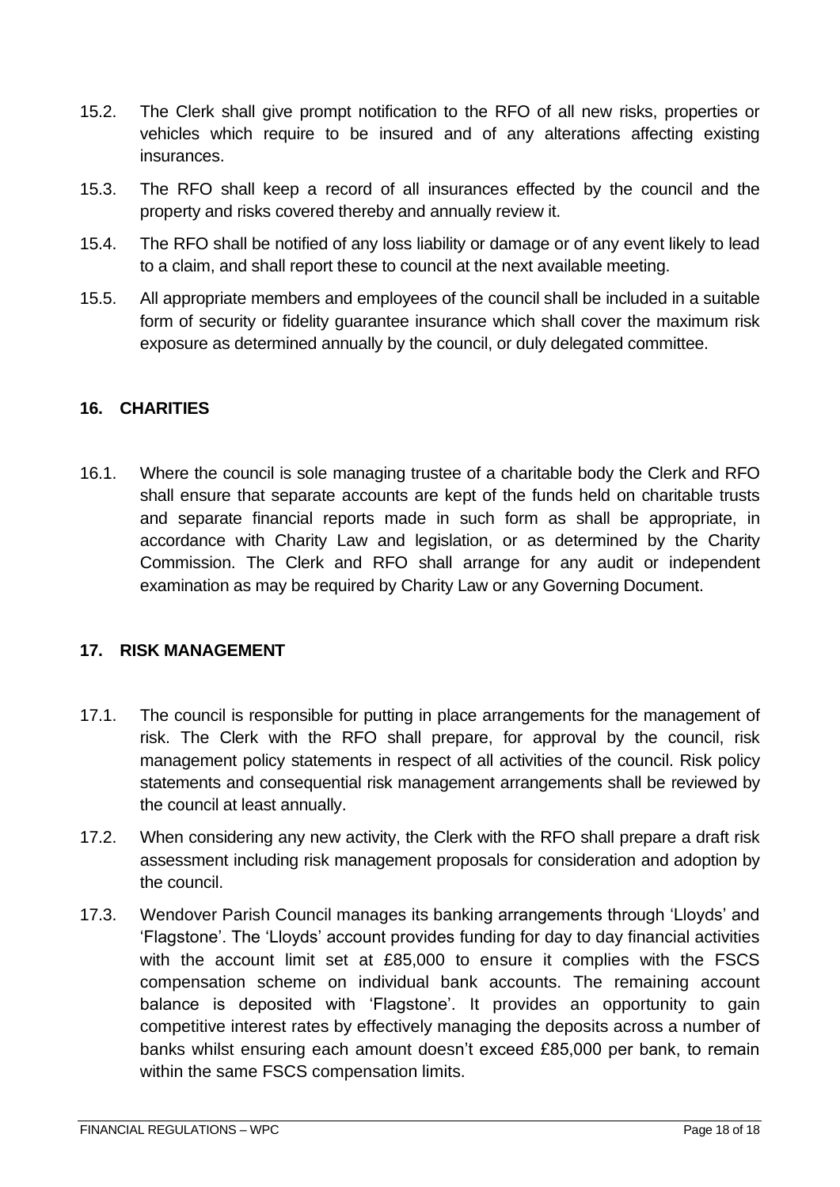- 15.2. The Clerk shall give prompt notification to the RFO of all new risks, properties or vehicles which require to be insured and of any alterations affecting existing insurances.
- 15.3. The RFO shall keep a record of all insurances effected by the council and the property and risks covered thereby and annually review it.
- 15.4. The RFO shall be notified of any loss liability or damage or of any event likely to lead to a claim, and shall report these to council at the next available meeting.
- 15.5. All appropriate members and employees of the council shall be included in a suitable form of security or fidelity guarantee insurance which shall cover the maximum risk exposure as determined annually by the council, or duly delegated committee.

## <span id="page-17-0"></span>**16. CHARITIES**

16.1. Where the council is sole managing trustee of a charitable body the Clerk and RFO shall ensure that separate accounts are kept of the funds held on charitable trusts and separate financial reports made in such form as shall be appropriate, in accordance with Charity Law and legislation, or as determined by the Charity Commission. The Clerk and RFO shall arrange for any audit or independent examination as may be required by Charity Law or any Governing Document.

#### <span id="page-17-1"></span>**17. RISK MANAGEMENT**

- 17.1. The council is responsible for putting in place arrangements for the management of risk. The Clerk with the RFO shall prepare, for approval by the council, risk management policy statements in respect of all activities of the council. Risk policy statements and consequential risk management arrangements shall be reviewed by the council at least annually.
- 17.2. When considering any new activity, the Clerk with the RFO shall prepare a draft risk assessment including risk management proposals for consideration and adoption by the council.
- 17.3. Wendover Parish Council manages its banking arrangements through 'Lloyds' and 'Flagstone'. The 'Lloyds' account provides funding for day to day financial activities with the account limit set at £85,000 to ensure it complies with the FSCS compensation scheme on individual bank accounts. The remaining account balance is deposited with 'Flagstone'. It provides an opportunity to gain competitive interest rates by effectively managing the deposits across a number of banks whilst ensuring each amount doesn't exceed £85,000 per bank, to remain within the same FSCS compensation limits.